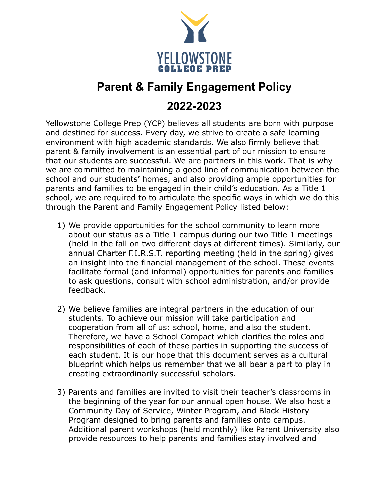

## **Parent & Family Engagement Policy**

## **2022-2023**

Yellowstone College Prep (YCP) believes all students are born with purpose and destined for success. Every day, we strive to create a safe learning environment with high academic standards. We also firmly believe that parent & family involvement is an essential part of our mission to ensure that our students are successful. We are partners in this work. That is why we are committed to maintaining a good line of communication between the school and our students' homes, and also providing ample opportunities for parents and families to be engaged in their child's education. As a Title 1 school, we are required to to articulate the specific ways in which we do this through the Parent and Family Engagement Policy listed below:

- 1) We provide opportunities for the school community to learn more about our status as a Title 1 campus during our two Title 1 meetings (held in the fall on two different days at different times). Similarly, our annual Charter F.I.R.S.T. reporting meeting (held in the spring) gives an insight into the financial management of the school. These events facilitate formal (and informal) opportunities for parents and families to ask questions, consult with school administration, and/or provide feedback.
- 2) We believe families are integral partners in the education of our students. To achieve our mission will take participation and cooperation from all of us: school, home, and also the student. Therefore, we have a School Compact which clarifies the roles and responsibilities of each of these parties in supporting the success of each student. It is our hope that this document serves as a cultural blueprint which helps us remember that we all bear a part to play in creating extraordinarily successful scholars.
- 3) Parents and families are invited to visit their teacher's classrooms in the beginning of the year for our annual open house. We also host a Community Day of Service, Winter Program, and Black History Program designed to bring parents and families onto campus. Additional parent workshops (held monthly) like Parent University also provide resources to help parents and families stay involved and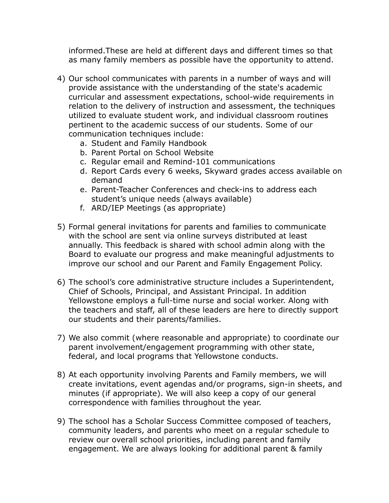informed.These are held at different days and different times so that as many family members as possible have the opportunity to attend.

- 4) Our school communicates with parents in a number of ways and will provide assistance with the understanding of the state's academic curricular and assessment expectations, school-wide requirements in relation to the delivery of instruction and assessment, the techniques utilized to evaluate student work, and individual classroom routines pertinent to the academic success of our students. Some of our communication techniques include:
	- a. Student and Family Handbook
	- b. Parent Portal on School Website
	- c. Regular email and Remind-101 communications
	- d. Report Cards every 6 weeks, Skyward grades access available on demand
	- e. Parent-Teacher Conferences and check-ins to address each student's unique needs (always available)
	- f. ARD/IEP Meetings (as appropriate)
- 5) Formal general invitations for parents and families to communicate with the school are sent via online surveys distributed at least annually. This feedback is shared with school admin along with the Board to evaluate our progress and make meaningful adjustments to improve our school and our Parent and Family Engagement Policy.
- 6) The school's core administrative structure includes a Superintendent, Chief of Schools, Principal, and Assistant Principal. In addition Yellowstone employs a full-time nurse and social worker. Along with the teachers and staff, all of these leaders are here to directly support our students and their parents/families.
- 7) We also commit (where reasonable and appropriate) to coordinate our parent involvement/engagement programming with other state, federal, and local programs that Yellowstone conducts.
- 8) At each opportunity involving Parents and Family members, we will create invitations, event agendas and/or programs, sign-in sheets, and minutes (if appropriate). We will also keep a copy of our general correspondence with families throughout the year.
- 9) The school has a Scholar Success Committee composed of teachers, community leaders, and parents who meet on a regular schedule to review our overall school priorities, including parent and family engagement. We are always looking for additional parent & family